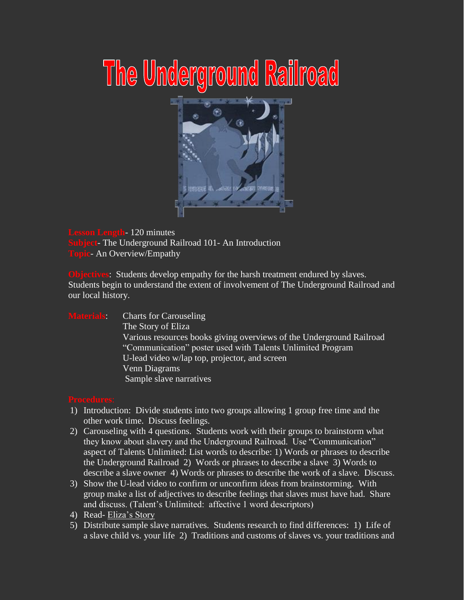## The Underground Railroad



**Let 120 minutes Subject**- The Underground Railroad 101- An Introduction **An Overview/Empathy** 

**Objectives:** Students develop empathy for the harsh treatment endured by slaves. Students begin to understand the extent of involvement of The Underground Railroad and our local history.

## **Materials:** Charts for Carouseling

 The Story of Eliza Various resources books giving overviews of the Underground Railroad "Communication" poster used with Talents Unlimited Program U-lead video w/lap top, projector, and screen Venn Diagrams Sample slave narratives

- 1) Introduction: Divide students into two groups allowing 1 group free time and the other work time. Discuss feelings.
- 2) Carouseling with 4 questions. Students work with their groups to brainstorm what they know about slavery and the Underground Railroad. Use "Communication" aspect of Talents Unlimited: List words to describe: 1) Words or phrases to describe the Underground Railroad 2) Words or phrases to describe a slave 3) Words to describe a slave owner 4) Words or phrases to describe the work of a slave. Discuss.
- 3) Show the U-lead video to confirm or unconfirm ideas from brainstorming. With group make a list of adjectives to describe feelings that slaves must have had. Share and discuss. (Talent's Unlimited: affective 1 word descriptors)
- 4) Read- Eliza's Story
- 5) Distribute sample slave narratives. Students research to find differences: 1) Life of a slave child vs. your life 2) Traditions and customs of slaves vs. your traditions and